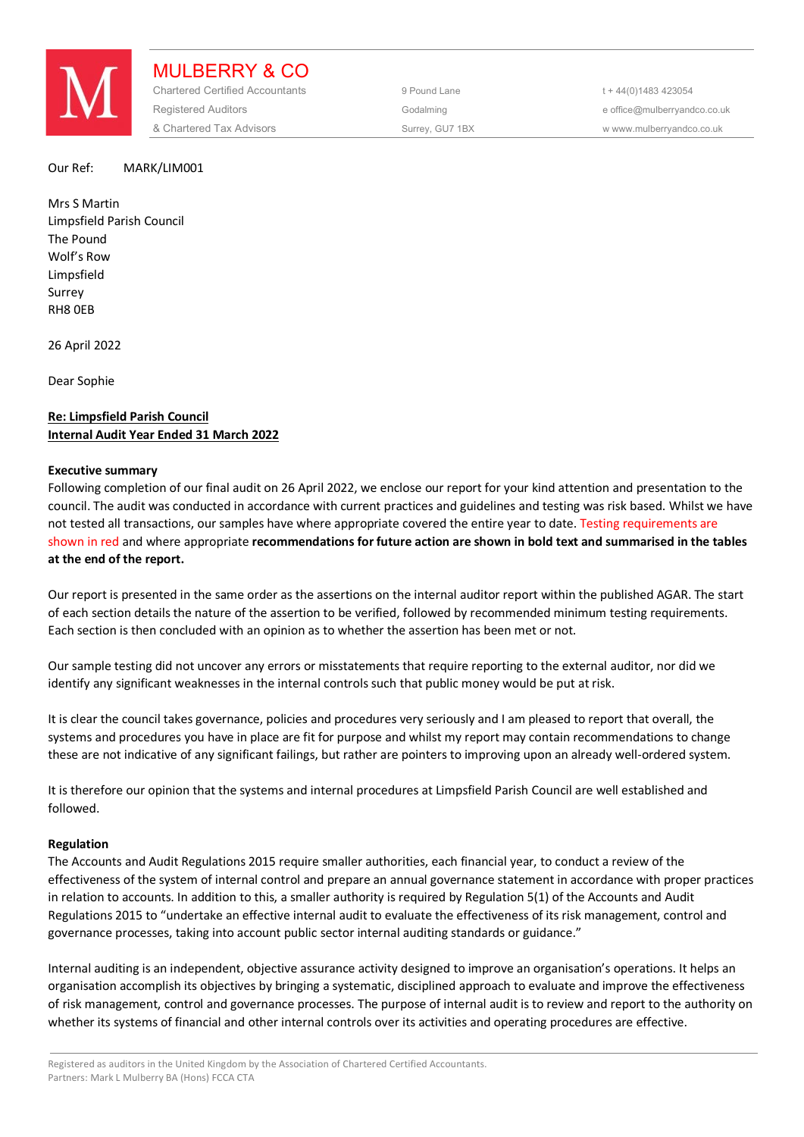

MULBERRY & CO Chartered Certified Accountants 9 Pound Lane 5 and the 44(0) 1483 423054 Registered Auditors and the Codalming Codalming and the office@mulberryandco.co.uk & Chartered Tax Advisors Surrey, GU7 1BX w www.mulberryandco.co.uk

#### Our Ref: MARK/LIM001

Mrs S Martin Limpsfield Parish Council The Pound Wolf's Row Limpsfield Surrey RH8 0EB

26 April 2022

Dear Sophie

# **Re: Limpsfield Parish Council Internal Audit Year Ended 31 March 2022**

#### **Executive summary**

Following completion of our final audit on 26 April 2022, we enclose our report for your kind attention and presentation to the council. The audit was conducted in accordance with current practices and guidelines and testing was risk based. Whilst we have not tested all transactions, our samples have where appropriate covered the entire year to date. Testing requirements are shown in red and where appropriate **recommendations for future action are shown in bold text and summarised in the tables at the end of the report.** 

Our report is presented in the same order as the assertions on the internal auditor report within the published AGAR. The start of each section details the nature of the assertion to be verified, followed by recommended minimum testing requirements. Each section is then concluded with an opinion as to whether the assertion has been met or not.

Our sample testing did not uncover any errors or misstatements that require reporting to the external auditor, nor did we identify any significant weaknesses in the internal controls such that public money would be put at risk.

It is clear the council takes governance, policies and procedures very seriously and I am pleased to report that overall, the systems and procedures you have in place are fit for purpose and whilst my report may contain recommendations to change these are not indicative of any significant failings, but rather are pointers to improving upon an already well-ordered system.

It is therefore our opinion that the systems and internal procedures at Limpsfield Parish Council are well established and followed.

#### **Regulation**

The Accounts and Audit Regulations 2015 require smaller authorities, each financial year, to conduct a review of the effectiveness of the system of internal control and prepare an annual governance statement in accordance with proper practices in relation to accounts. In addition to this, a smaller authority is required by Regulation 5(1) of the Accounts and Audit Regulations 2015 to "undertake an effective internal audit to evaluate the effectiveness of its risk management, control and governance processes, taking into account public sector internal auditing standards or guidance."

Internal auditing is an independent, objective assurance activity designed to improve an organisation's operations. It helps an organisation accomplish its objectives by bringing a systematic, disciplined approach to evaluate and improve the effectiveness of risk management, control and governance processes. The purpose of internal audit is to review and report to the authority on whether its systems of financial and other internal controls over its activities and operating procedures are effective.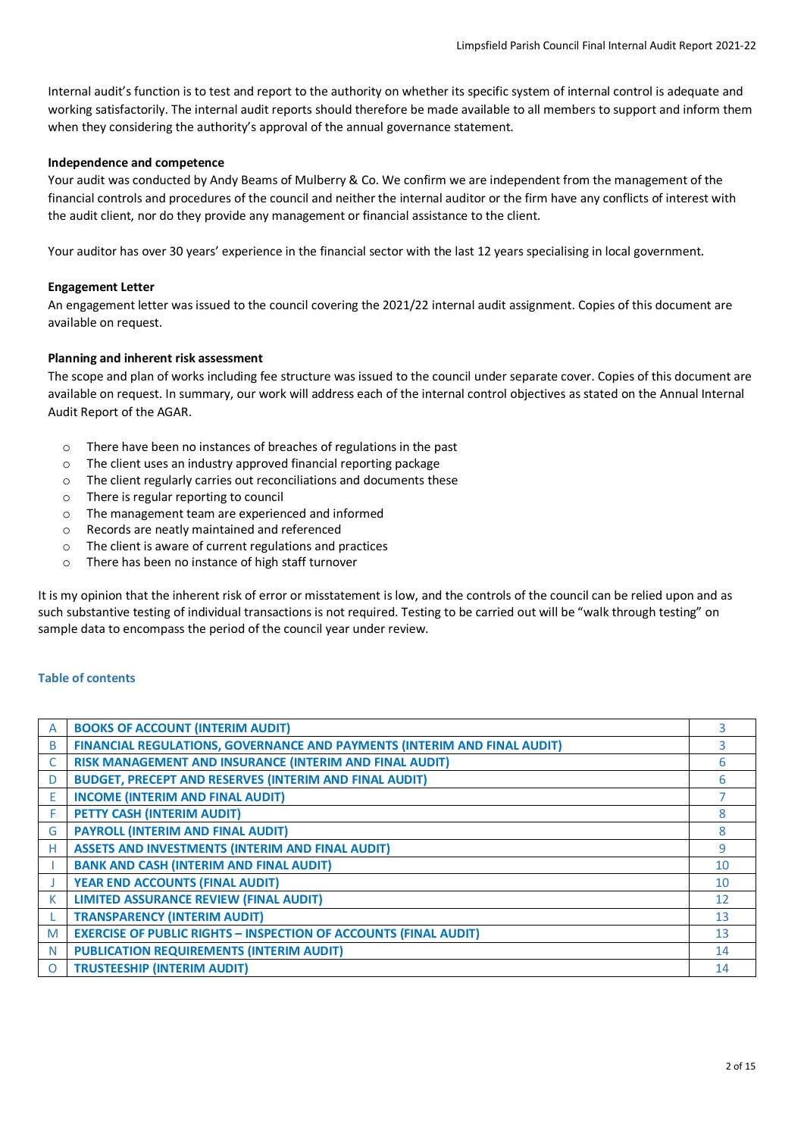Internal audit's function is to test and report to the authority on whether its specific system of internal control is adequate and working satisfactorily. The internal audit reports should therefore be made available to all members to support and inform them when they considering the authority's approval of the annual governance statement.

## **Independence and competence**

Your audit was conducted by Andy Beams of Mulberry & Co. We confirm we are independent from the management of the financial controls and procedures of the council and neither the internal auditor or the firm have any conflicts of interest with the audit client, nor do they provide any management or financial assistance to the client.

Your auditor has over 30 years' experience in the financial sector with the last 12 years specialising in local government.

## **Engagement Letter**

An engagement letter was issued to the council covering the 2021/22 internal audit assignment. Copies of this document are available on request.

## **Planning and inherent risk assessment**

The scope and plan of works including fee structure was issued to the council under separate cover. Copies of this document are available on request. In summary, our work will address each of the internal control objectives as stated on the Annual Internal Audit Report of the AGAR.

- o There have been no instances of breaches of regulations in the past
- o The client uses an industry approved financial reporting package
- o The client regularly carries out reconciliations and documents these
- o There is regular reporting to council
- o The management team are experienced and informed
- o Records are neatly maintained and referenced
- o The client is aware of current regulations and practices
- o There has been no instance of high staff turnover

It is my opinion that the inherent risk of error or misstatement is low, and the controls of the council can be relied upon and as such substantive testing of individual transactions is not required. Testing to be carried out will be "walk through testing" on sample data to encompass the period of the council year under review.

## **Table of contents**

|   | <b>BOOKS OF ACCOUNT (INTERIM AUDIT)</b>                                  | 3  |
|---|--------------------------------------------------------------------------|----|
| B | FINANCIAL REGULATIONS, GOVERNANCE AND PAYMENTS (INTERIM AND FINAL AUDIT) | 3  |
|   | RISK MANAGEMENT AND INSURANCE (INTERIM AND FINAL AUDIT)                  | 6  |
| D | <b>BUDGET, PRECEPT AND RESERVES (INTERIM AND FINAL AUDIT)</b>            | 6  |
| E | <b>INCOME (INTERIM AND FINAL AUDIT)</b>                                  |    |
|   | PETTY CASH (INTERIM AUDIT)                                               | 8  |
| G | <b>PAYROLL (INTERIM AND FINAL AUDIT)</b>                                 | 8  |
| н | <b>ASSETS AND INVESTMENTS (INTERIM AND FINAL AUDIT)</b>                  | 9  |
|   | <b>BANK AND CASH (INTERIM AND FINAL AUDIT)</b>                           | 10 |
|   | <b>YEAR END ACCOUNTS (FINAL AUDIT)</b>                                   | 10 |
| К | <b>LIMITED ASSURANCE REVIEW (FINAL AUDIT)</b>                            | 12 |
|   | <b>TRANSPARENCY (INTERIM AUDIT)</b>                                      | 13 |
| M | <b>EXERCISE OF PUBLIC RIGHTS - INSPECTION OF ACCOUNTS (FINAL AUDIT)</b>  | 13 |
| N | <b>PUBLICATION REQUIREMENTS (INTERIM AUDIT)</b>                          | 14 |
| O | <b>TRUSTEESHIP (INTERIM AUDIT)</b>                                       | 14 |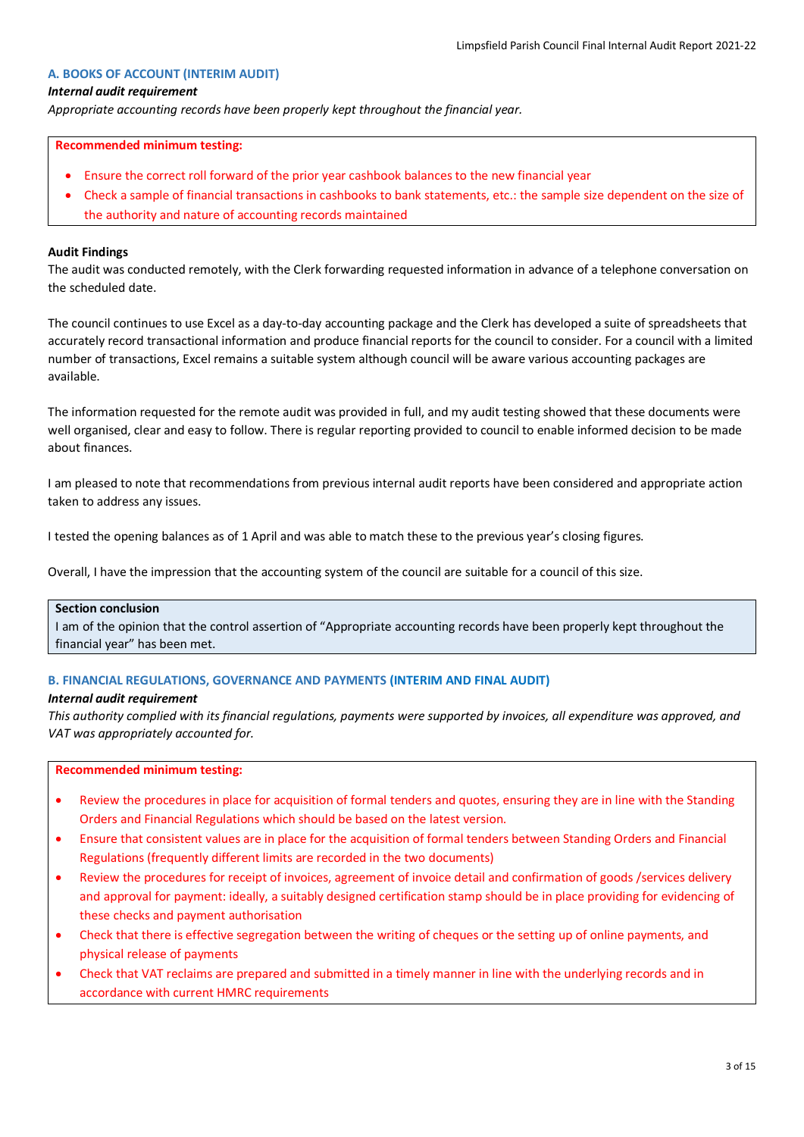## **A. BOOKS OF ACCOUNT (INTERIM AUDIT)**

#### *Internal audit requirement*

*Appropriate accounting records have been properly kept throughout the financial year.*

#### **Recommended minimum testing:**

- Ensure the correct roll forward of the prior year cashbook balances to the new financial year
- Check a sample of financial transactions in cashbooks to bank statements, etc.: the sample size dependent on the size of the authority and nature of accounting records maintained

#### **Audit Findings**

The audit was conducted remotely, with the Clerk forwarding requested information in advance of a telephone conversation on the scheduled date.

The council continues to use Excel as a day-to-day accounting package and the Clerk has developed a suite of spreadsheets that accurately record transactional information and produce financial reports for the council to consider. For a council with a limited number of transactions, Excel remains a suitable system although council will be aware various accounting packages are available.

The information requested for the remote audit was provided in full, and my audit testing showed that these documents were well organised, clear and easy to follow. There is regular reporting provided to council to enable informed decision to be made about finances.

I am pleased to note that recommendations from previous internal audit reports have been considered and appropriate action taken to address any issues.

I tested the opening balances as of 1 April and was able to match these to the previous year's closing figures.

Overall, I have the impression that the accounting system of the council are suitable for a council of this size.

## **Section conclusion**

I am of the opinion that the control assertion of "Appropriate accounting records have been properly kept throughout the financial year" has been met.

#### **B. FINANCIAL REGULATIONS, GOVERNANCE AND PAYMENTS (INTERIM AND FINAL AUDIT)**

#### *Internal audit requirement*

*This authority complied with its financial regulations, payments were supported by invoices, all expenditure was approved, and VAT was appropriately accounted for.*

#### **Recommended minimum testing:**

- Review the procedures in place for acquisition of formal tenders and quotes, ensuring they are in line with the Standing Orders and Financial Regulations which should be based on the latest version.
- Ensure that consistent values are in place for the acquisition of formal tenders between Standing Orders and Financial Regulations (frequently different limits are recorded in the two documents)
- Review the procedures for receipt of invoices, agreement of invoice detail and confirmation of goods /services delivery and approval for payment: ideally, a suitably designed certification stamp should be in place providing for evidencing of these checks and payment authorisation
- Check that there is effective segregation between the writing of cheques or the setting up of online payments, and physical release of payments
- Check that VAT reclaims are prepared and submitted in a timely manner in line with the underlying records and in accordance with current HMRC requirements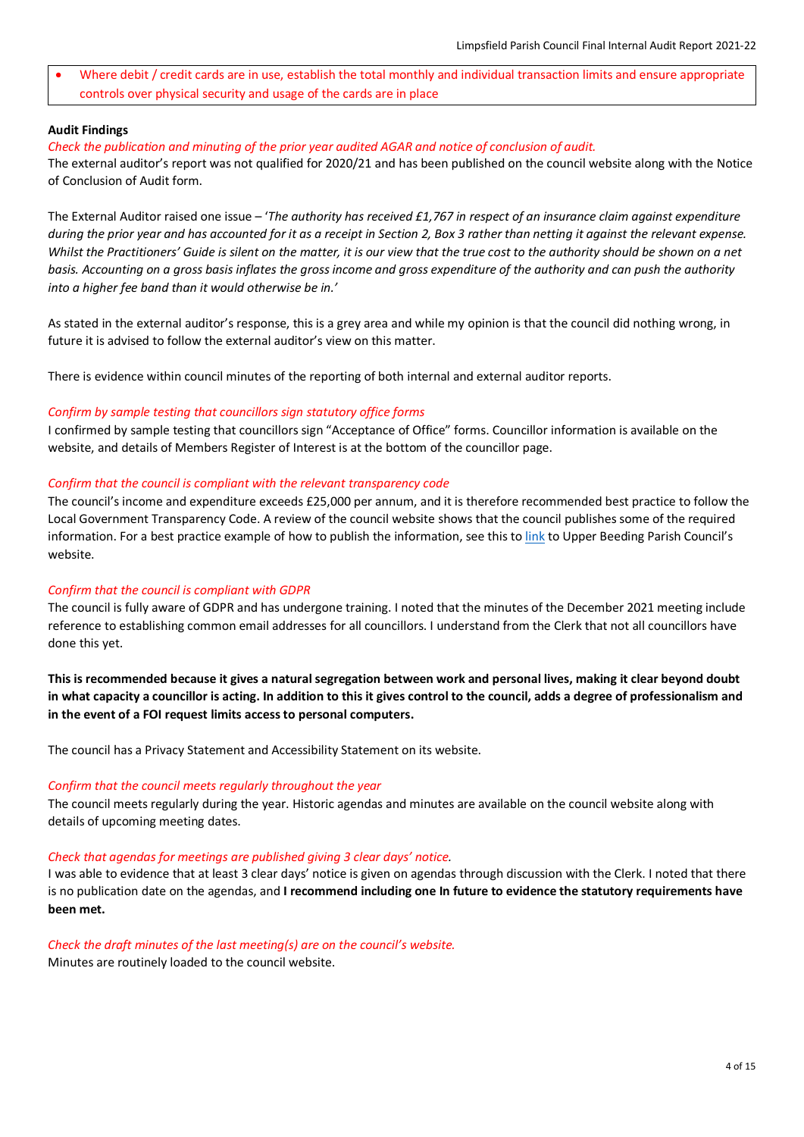• Where debit / credit cards are in use, establish the total monthly and individual transaction limits and ensure appropriate controls over physical security and usage of the cards are in place

#### **Audit Findings**

#### *Check the publication and minuting of the prior year audited AGAR and notice of conclusion of audit.*

The external auditor's report was not qualified for 2020/21 and has been published on the council website along with the Notice of Conclusion of Audit form.

The External Auditor raised one issue – '*The authority has received £1,767 in respect of an insurance claim against expenditure during the prior year and has accounted for it as a receipt in Section 2, Box 3 rather than netting it against the relevant expense. Whilst the Practitioners' Guide is silent on the matter, it is our view that the true cost to the authority should be shown on a net basis. Accounting on a gross basis inflates the gross income and gross expenditure of the authority and can push the authority into a higher fee band than it would otherwise be in.'*

As stated in the external auditor's response, this is a grey area and while my opinion is that the council did nothing wrong, in future it is advised to follow the external auditor's view on this matter.

There is evidence within council minutes of the reporting of both internal and external auditor reports.

#### *Confirm by sample testing that councillors sign statutory office forms*

I confirmed by sample testing that councillors sign "Acceptance of Office" forms. Councillor information is available on the website, and details of Members Register of Interest is at the bottom of the councillor page.

## *Confirm that the council is compliant with the relevant transparency code*

The council's income and expenditure exceeds £25,000 per annum, and it is therefore recommended best practice to follow the Local Government Transparency Code. A review of the council website shows that the council publishes some of the required information. For a best practice example of how to publish the information, see this to [link](https://www.upperbeeding-pc.gov.uk/finance-transparency/) to Upper Beeding Parish Council's website.

## *Confirm that the council is compliant with GDPR*

The council is fully aware of GDPR and has undergone training. I noted that the minutes of the December 2021 meeting include reference to establishing common email addresses for all councillors. I understand from the Clerk that not all councillors have done this yet.

**This is recommended because it gives a natural segregation between work and personal lives, making it clear beyond doubt in what capacity a councillor is acting. In addition to this it gives control to the council, adds a degree of professionalism and in the event of a FOI request limits access to personal computers.** 

The council has a Privacy Statement and Accessibility Statement on its website.

#### *Confirm that the council meets regularly throughout the year*

The council meets regularly during the year. Historic agendas and minutes are available on the council website along with details of upcoming meeting dates.

#### *Check that agendas for meetings are published giving 3 clear days' notice.*

I was able to evidence that at least 3 clear days' notice is given on agendas through discussion with the Clerk. I noted that there is no publication date on the agendas, and **I recommend including one In future to evidence the statutory requirements have been met.**

#### *Check the draft minutes of the last meeting(s) are on the council's website.*

Minutes are routinely loaded to the council website.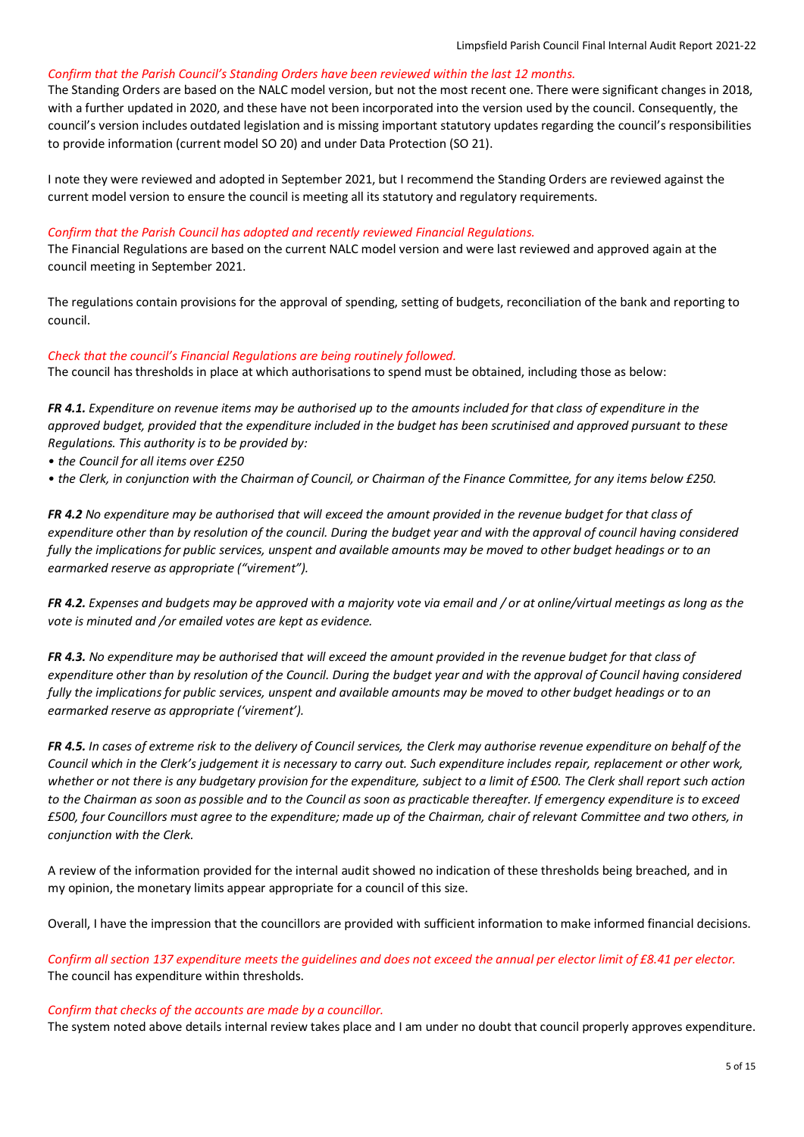# *Confirm that the Parish Council's Standing Orders have been reviewed within the last 12 months.*

The Standing Orders are based on the NALC model version, but not the most recent one. There were significant changes in 2018, with a further updated in 2020, and these have not been incorporated into the version used by the council. Consequently, the council's version includes outdated legislation and is missing important statutory updates regarding the council's responsibilities to provide information (current model SO 20) and under Data Protection (SO 21).

I note they were reviewed and adopted in September 2021, but I recommend the Standing Orders are reviewed against the current model version to ensure the council is meeting all its statutory and regulatory requirements.

## *Confirm that the Parish Council has adopted and recently reviewed Financial Regulations.*

The Financial Regulations are based on the current NALC model version and were last reviewed and approved again at the council meeting in September 2021.

The regulations contain provisions for the approval of spending, setting of budgets, reconciliation of the bank and reporting to council.

## *Check that the council's Financial Regulations are being routinely followed.*

The council has thresholds in place at which authorisations to spend must be obtained, including those as below:

*FR 4.1. Expenditure on revenue items may be authorised up to the amounts included for that class of expenditure in the approved budget, provided that the expenditure included in the budget has been scrutinised and approved pursuant to these Regulations. This authority is to be provided by:* 

- *the Council for all items over £250*
- *the Clerk, in conjunction with the Chairman of Council, or Chairman of the Finance Committee, for any items below £250.*

*FR 4.2 No expenditure may be authorised that will exceed the amount provided in the revenue budget for that class of expenditure other than by resolution of the council. During the budget year and with the approval of council having considered fully the implications for public services, unspent and available amounts may be moved to other budget headings or to an earmarked reserve as appropriate ("virement").*

*FR 4.2. Expenses and budgets may be approved with a majority vote via email and / or at online/virtual meetings as long as the vote is minuted and /or emailed votes are kept as evidence.*

*FR 4.3. No expenditure may be authorised that will exceed the amount provided in the revenue budget for that class of expenditure other than by resolution of the Council. During the budget year and with the approval of Council having considered fully the implications for public services, unspent and available amounts may be moved to other budget headings or to an earmarked reserve as appropriate ('virement').* 

*FR 4.5. In cases of extreme risk to the delivery of Council services, the Clerk may authorise revenue expenditure on behalf of the Council which in the Clerk's judgement it is necessary to carry out. Such expenditure includes repair, replacement or other work, whether or not there is any budgetary provision for the expenditure, subject to a limit of £500. The Clerk shall report such action to the Chairman as soon as possible and to the Council as soon as practicable thereafter. If emergency expenditure is to exceed £500, four Councillors must agree to the expenditure; made up of the Chairman, chair of relevant Committee and two others, in conjunction with the Clerk.*

A review of the information provided for the internal audit showed no indication of these thresholds being breached, and in my opinion, the monetary limits appear appropriate for a council of this size.

Overall, I have the impression that the councillors are provided with sufficient information to make informed financial decisions.

*Confirm all section 137 expenditure meets the guidelines and does not exceed the annual per elector limit of £8.41 per elector.* The council has expenditure within thresholds.

#### *Confirm that checks of the accounts are made by a councillor.*

The system noted above details internal review takes place and I am under no doubt that council properly approves expenditure.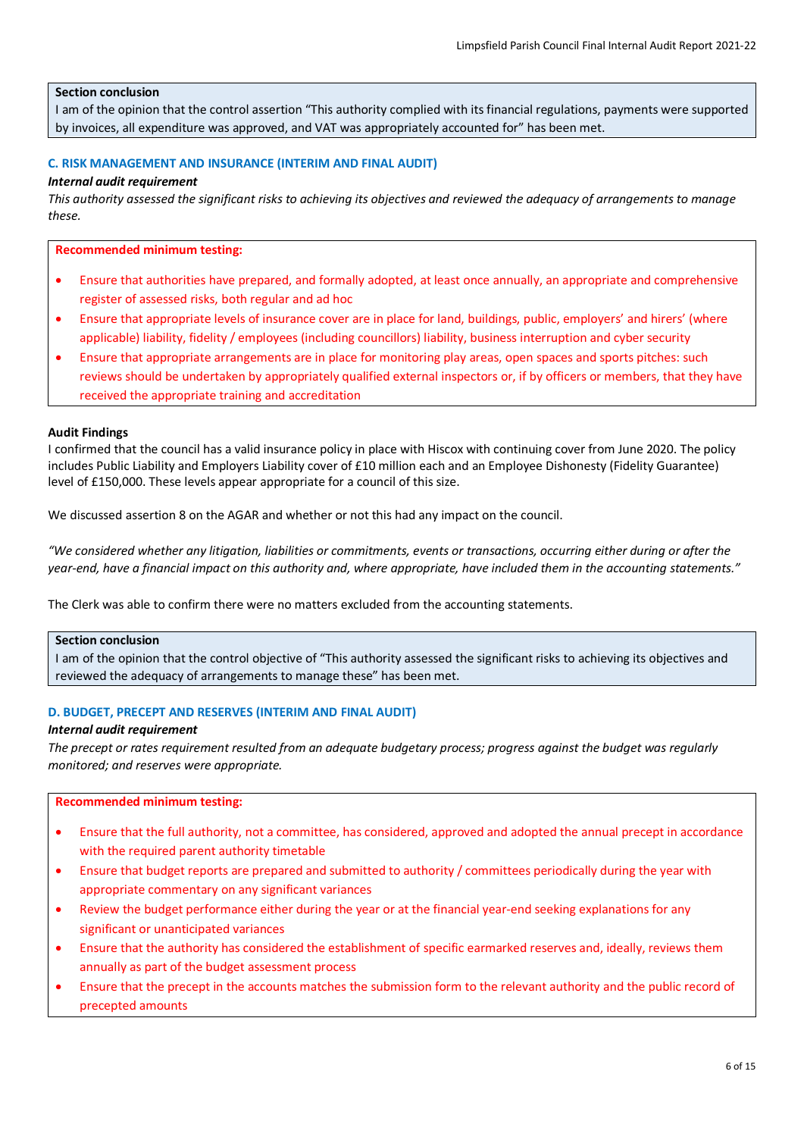## **Section conclusion**

I am of the opinion that the control assertion "This authority complied with its financial regulations, payments were supported by invoices, all expenditure was approved, and VAT was appropriately accounted for" has been met.

## **C. RISK MANAGEMENT AND INSURANCE (INTERIM AND FINAL AUDIT)**

## *Internal audit requirement*

*This authority assessed the significant risks to achieving its objectives and reviewed the adequacy of arrangements to manage these.*

#### **Recommended minimum testing:**

- Ensure that authorities have prepared, and formally adopted, at least once annually, an appropriate and comprehensive register of assessed risks, both regular and ad hoc
- Ensure that appropriate levels of insurance cover are in place for land, buildings, public, employers' and hirers' (where applicable) liability, fidelity / employees (including councillors) liability, business interruption and cyber security
- Ensure that appropriate arrangements are in place for monitoring play areas, open spaces and sports pitches: such reviews should be undertaken by appropriately qualified external inspectors or, if by officers or members, that they have received the appropriate training and accreditation

#### **Audit Findings**

I confirmed that the council has a valid insurance policy in place with Hiscox with continuing cover from June 2020. The policy includes Public Liability and Employers Liability cover of £10 million each and an Employee Dishonesty (Fidelity Guarantee) level of £150,000. These levels appear appropriate for a council of this size.

We discussed assertion 8 on the AGAR and whether or not this had any impact on the council.

*"We considered whether any litigation, liabilities or commitments, events or transactions, occurring either during or after the year-end, have a financial impact on this authority and, where appropriate, have included them in the accounting statements."*

The Clerk was able to confirm there were no matters excluded from the accounting statements.

## **Section conclusion**

I am of the opinion that the control objective of "This authority assessed the significant risks to achieving its objectives and reviewed the adequacy of arrangements to manage these" has been met.

#### **D. BUDGET, PRECEPT AND RESERVES (INTERIM AND FINAL AUDIT)**

#### *Internal audit requirement*

*The precept or rates requirement resulted from an adequate budgetary process; progress against the budget was regularly monitored; and reserves were appropriate.*

#### **Recommended minimum testing:**

- Ensure that the full authority, not a committee, has considered, approved and adopted the annual precept in accordance with the required parent authority timetable
- Ensure that budget reports are prepared and submitted to authority / committees periodically during the year with appropriate commentary on any significant variances
- Review the budget performance either during the year or at the financial year-end seeking explanations for any significant or unanticipated variances
- Ensure that the authority has considered the establishment of specific earmarked reserves and, ideally, reviews them annually as part of the budget assessment process
- Ensure that the precept in the accounts matches the submission form to the relevant authority and the public record of precepted amounts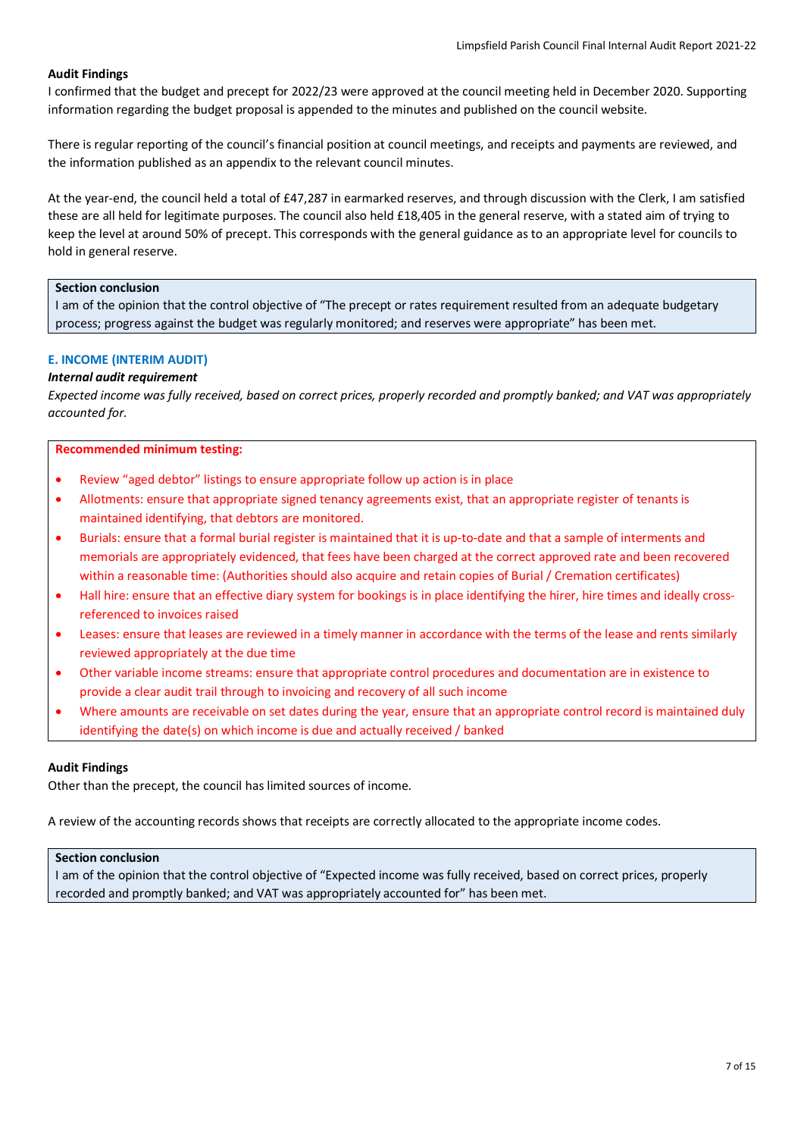# **Audit Findings**

I confirmed that the budget and precept for 2022/23 were approved at the council meeting held in December 2020. Supporting information regarding the budget proposal is appended to the minutes and published on the council website.

There is regular reporting of the council's financial position at council meetings, and receipts and payments are reviewed, and the information published as an appendix to the relevant council minutes.

At the year-end, the council held a total of £47,287 in earmarked reserves, and through discussion with the Clerk, I am satisfied these are all held for legitimate purposes. The council also held £18,405 in the general reserve, with a stated aim of trying to keep the level at around 50% of precept. This corresponds with the general guidance as to an appropriate level for councils to hold in general reserve.

#### **Section conclusion**

I am of the opinion that the control objective of "The precept or rates requirement resulted from an adequate budgetary process; progress against the budget was regularly monitored; and reserves were appropriate" has been met.

## **E. INCOME (INTERIM AUDIT)**

# *Internal audit requirement*

*Expected income was fully received, based on correct prices, properly recorded and promptly banked; and VAT was appropriately accounted for.*

## **Recommended minimum testing:**

- Review "aged debtor" listings to ensure appropriate follow up action is in place
- Allotments: ensure that appropriate signed tenancy agreements exist, that an appropriate register of tenants is maintained identifying, that debtors are monitored.
- Burials: ensure that a formal burial register is maintained that it is up-to-date and that a sample of interments and memorials are appropriately evidenced, that fees have been charged at the correct approved rate and been recovered within a reasonable time: (Authorities should also acquire and retain copies of Burial / Cremation certificates)
- Hall hire: ensure that an effective diary system for bookings is in place identifying the hirer, hire times and ideally crossreferenced to invoices raised
- Leases: ensure that leases are reviewed in a timely manner in accordance with the terms of the lease and rents similarly reviewed appropriately at the due time
- Other variable income streams: ensure that appropriate control procedures and documentation are in existence to provide a clear audit trail through to invoicing and recovery of all such income
- Where amounts are receivable on set dates during the year, ensure that an appropriate control record is maintained duly identifying the date(s) on which income is due and actually received / banked

## **Audit Findings**

Other than the precept, the council has limited sources of income.

A review of the accounting records shows that receipts are correctly allocated to the appropriate income codes.

#### **Section conclusion**

I am of the opinion that the control objective of "Expected income was fully received, based on correct prices, properly recorded and promptly banked; and VAT was appropriately accounted for" has been met.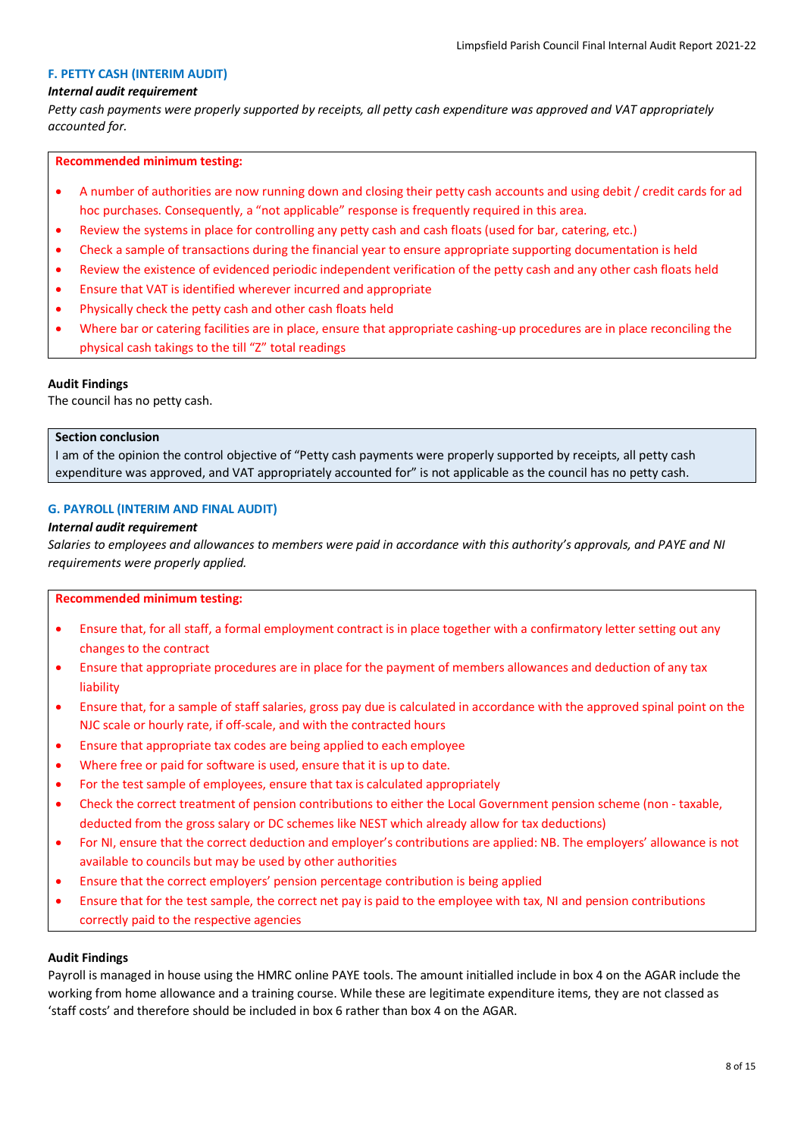## **F. PETTY CASH (INTERIM AUDIT)**

#### *Internal audit requirement*

*Petty cash payments were properly supported by receipts, all petty cash expenditure was approved and VAT appropriately accounted for.*

#### **Recommended minimum testing:**

- A number of authorities are now running down and closing their petty cash accounts and using debit / credit cards for ad hoc purchases. Consequently, a "not applicable" response is frequently required in this area.
- Review the systems in place for controlling any petty cash and cash floats (used for bar, catering, etc.)
- Check a sample of transactions during the financial year to ensure appropriate supporting documentation is held
- Review the existence of evidenced periodic independent verification of the petty cash and any other cash floats held
- Ensure that VAT is identified wherever incurred and appropriate
- Physically check the petty cash and other cash floats held
- Where bar or catering facilities are in place, ensure that appropriate cashing-up procedures are in place reconciling the physical cash takings to the till "Z" total readings

#### **Audit Findings**

The council has no petty cash.

## **Section conclusion**

I am of the opinion the control objective of "Petty cash payments were properly supported by receipts, all petty cash expenditure was approved, and VAT appropriately accounted for" is not applicable as the council has no petty cash.

## **G. PAYROLL (INTERIM AND FINAL AUDIT)**

#### *Internal audit requirement*

*Salaries to employees and allowances to members were paid in accordance with this authority's approvals, and PAYE and NI requirements were properly applied.*

#### **Recommended minimum testing:**

- Ensure that, for all staff, a formal employment contract is in place together with a confirmatory letter setting out any changes to the contract
- Ensure that appropriate procedures are in place for the payment of members allowances and deduction of any tax liability
- Ensure that, for a sample of staff salaries, gross pay due is calculated in accordance with the approved spinal point on the NJC scale or hourly rate, if off-scale, and with the contracted hours
- Ensure that appropriate tax codes are being applied to each employee
- Where free or paid for software is used, ensure that it is up to date.
- For the test sample of employees, ensure that tax is calculated appropriately
- Check the correct treatment of pension contributions to either the Local Government pension scheme (non taxable, deducted from the gross salary or DC schemes like NEST which already allow for tax deductions)
- For NI, ensure that the correct deduction and employer's contributions are applied: NB. The employers' allowance is not available to councils but may be used by other authorities
- Ensure that the correct employers' pension percentage contribution is being applied
- Ensure that for the test sample, the correct net pay is paid to the employee with tax, NI and pension contributions correctly paid to the respective agencies

#### **Audit Findings**

Payroll is managed in house using the HMRC online PAYE tools. The amount initialled include in box 4 on the AGAR include the working from home allowance and a training course. While these are legitimate expenditure items, they are not classed as 'staff costs' and therefore should be included in box 6 rather than box 4 on the AGAR.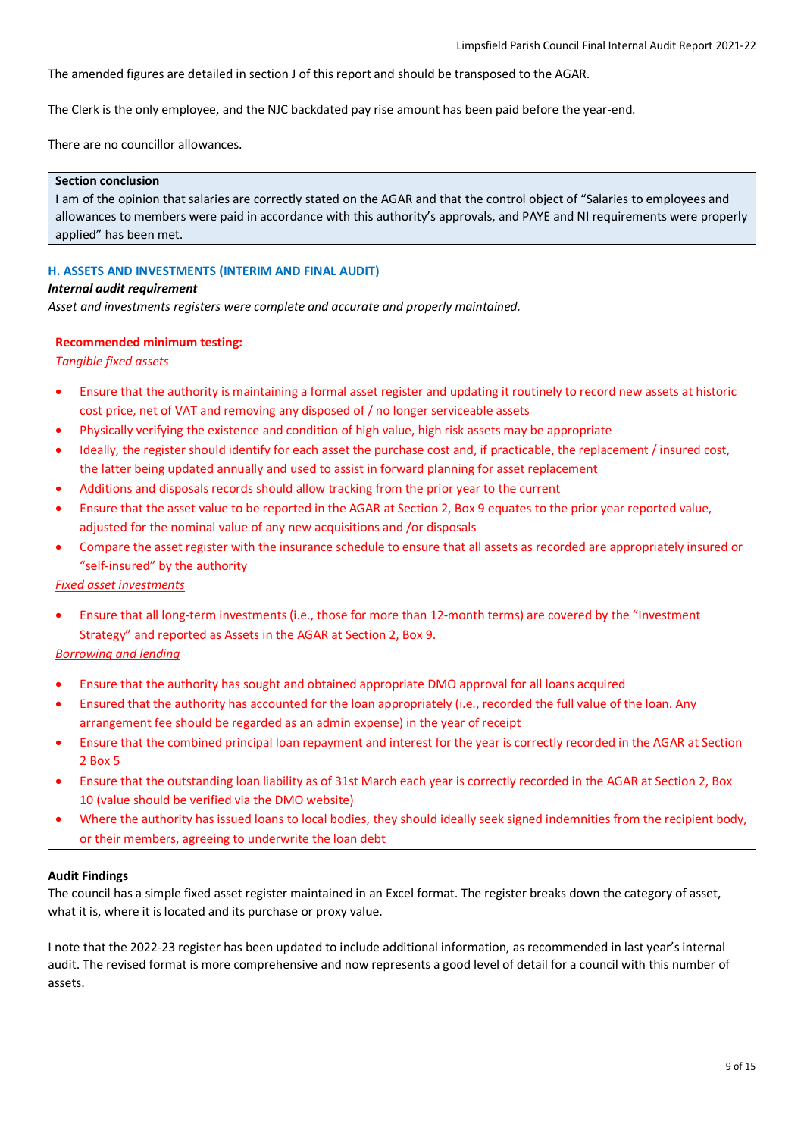The amended figures are detailed in section J of this report and should be transposed to the AGAR.

The Clerk is the only employee, and the NJC backdated pay rise amount has been paid before the year-end.

There are no councillor allowances.

#### **Section conclusion**

I am of the opinion that salaries are correctly stated on the AGAR and that the control object of "Salaries to employees and allowances to members were paid in accordance with this authority's approvals, and PAYE and NI requirements were properly applied" has been met.

# **H. ASSETS AND INVESTMENTS (INTERIM AND FINAL AUDIT)**

#### *Internal audit requirement*

*Asset and investments registers were complete and accurate and properly maintained.*

# **Recommended minimum testing:**

# *Tangible fixed assets*

- Ensure that the authority is maintaining a formal asset register and updating it routinely to record new assets at historic cost price, net of VAT and removing any disposed of / no longer serviceable assets
- Physically verifying the existence and condition of high value, high risk assets may be appropriate
- Ideally, the register should identify for each asset the purchase cost and, if practicable, the replacement / insured cost, the latter being updated annually and used to assist in forward planning for asset replacement
- Additions and disposals records should allow tracking from the prior year to the current
- Ensure that the asset value to be reported in the AGAR at Section 2, Box 9 equates to the prior year reported value, adjusted for the nominal value of any new acquisitions and /or disposals
- Compare the asset register with the insurance schedule to ensure that all assets as recorded are appropriately insured or "self-insured" by the authority

# *Fixed asset investments*

• Ensure that all long-term investments (i.e., those for more than 12-month terms) are covered by the "Investment Strategy" and reported as Assets in the AGAR at Section 2, Box 9.

## *Borrowing and lending*

- Ensure that the authority has sought and obtained appropriate DMO approval for all loans acquired
- Ensured that the authority has accounted for the loan appropriately (i.e., recorded the full value of the loan. Any arrangement fee should be regarded as an admin expense) in the year of receipt
- Ensure that the combined principal loan repayment and interest for the year is correctly recorded in the AGAR at Section 2 Box 5
- Ensure that the outstanding loan liability as of 31st March each year is correctly recorded in the AGAR at Section 2, Box 10 (value should be verified via the DMO website)
- Where the authority has issued loans to local bodies, they should ideally seek signed indemnities from the recipient body, or their members, agreeing to underwrite the loan debt

## **Audit Findings**

The council has a simple fixed asset register maintained in an Excel format. The register breaks down the category of asset, what it is, where it is located and its purchase or proxy value.

I note that the 2022-23 register has been updated to include additional information, as recommended in last year's internal audit. The revised format is more comprehensive and now represents a good level of detail for a council with this number of assets.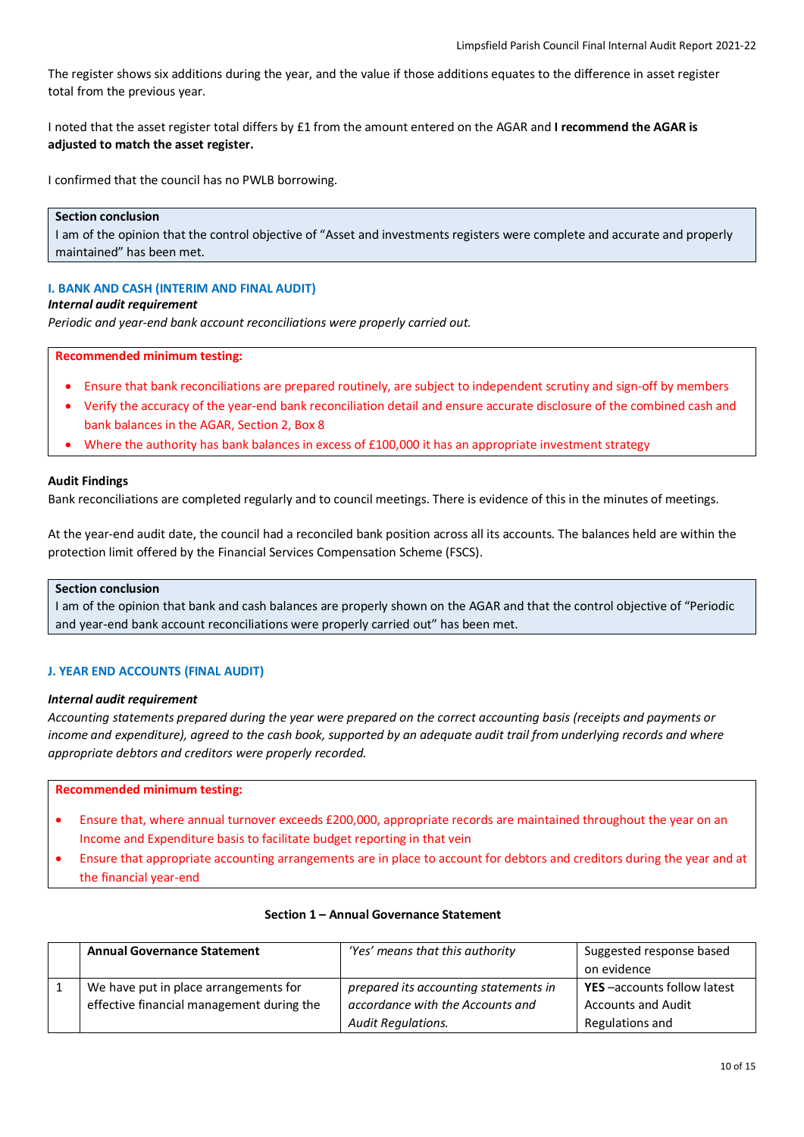The register shows six additions during the year, and the value if those additions equates to the difference in asset register total from the previous year.

I noted that the asset register total differs by £1 from the amount entered on the AGAR and **I recommend the AGAR is adjusted to match the asset register.**

I confirmed that the council has no PWLB borrowing.

# **Section conclusion**

I am of the opinion that the control objective of "Asset and investments registers were complete and accurate and properly maintained" has been met.

## **I. BANK AND CASH (INTERIM AND FINAL AUDIT)**

## *Internal audit requirement*

*Periodic and year-end bank account reconciliations were properly carried out.*

#### **Recommended minimum testing:**

- Ensure that bank reconciliations are prepared routinely, are subject to independent scrutiny and sign-off by members
- Verify the accuracy of the year-end bank reconciliation detail and ensure accurate disclosure of the combined cash and bank balances in the AGAR, Section 2, Box 8
- Where the authority has bank balances in excess of £100,000 it has an appropriate investment strategy

#### **Audit Findings**

Bank reconciliations are completed regularly and to council meetings. There is evidence of this in the minutes of meetings.

At the year-end audit date, the council had a reconciled bank position across all its accounts. The balances held are within the protection limit offered by the Financial Services Compensation Scheme (FSCS).

## **Section conclusion**

I am of the opinion that bank and cash balances are properly shown on the AGAR and that the control objective of "Periodic and year-end bank account reconciliations were properly carried out" has been met.

## **J. YEAR END ACCOUNTS (FINAL AUDIT)**

#### *Internal audit requirement*

*Accounting statements prepared during the year were prepared on the correct accounting basis (receipts and payments or income and expenditure), agreed to the cash book, supported by an adequate audit trail from underlying records and where appropriate debtors and creditors were properly recorded.*

## **Recommended minimum testing:**

- Ensure that, where annual turnover exceeds £200,000, appropriate records are maintained throughout the year on an Income and Expenditure basis to facilitate budget reporting in that vein
- Ensure that appropriate accounting arrangements are in place to account for debtors and creditors during the year and at the financial year-end

|  | <b>Annual Governance Statement</b>        | 'Yes' means that this authority       | Suggested response based<br>on evidence |
|--|-------------------------------------------|---------------------------------------|-----------------------------------------|
|  | We have put in place arrangements for     | prepared its accounting statements in | <b>YES</b> -accounts follow latest      |
|  | effective financial management during the | accordance with the Accounts and      | <b>Accounts and Audit</b>               |
|  |                                           | <b>Audit Regulations.</b>             | Regulations and                         |

## **Section 1 – Annual Governance Statement**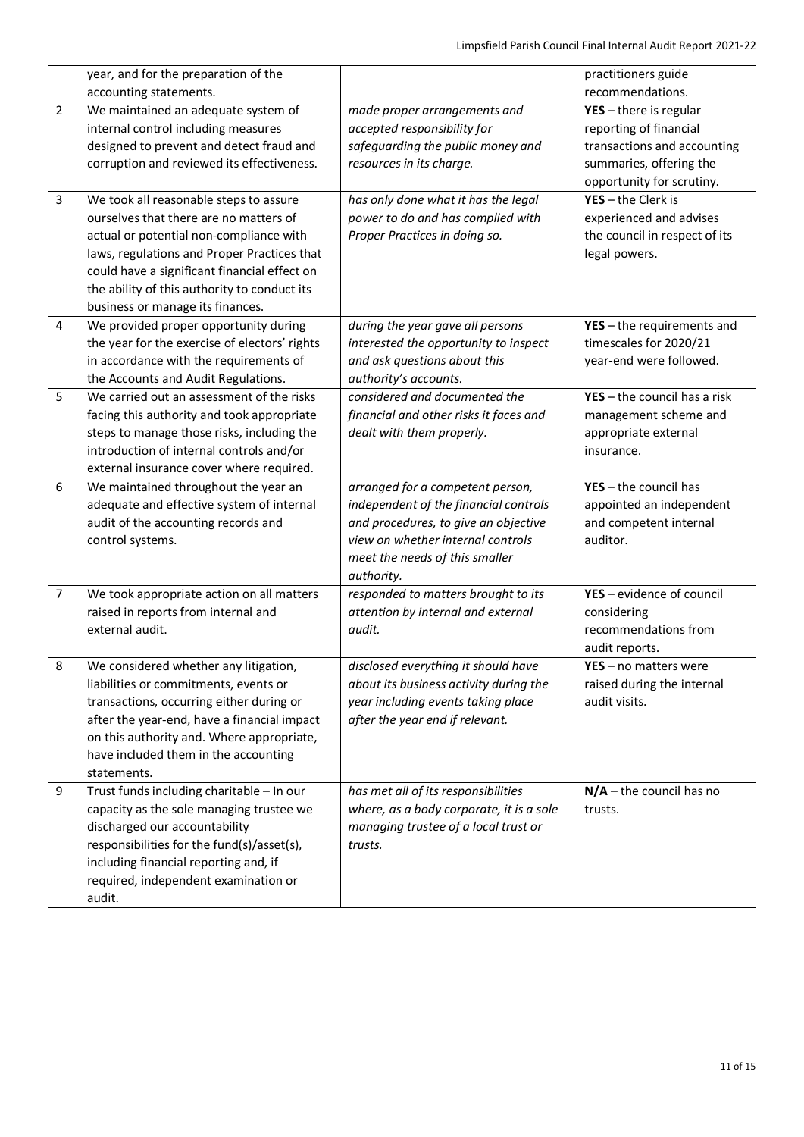|                | year, and for the preparation of the<br>accounting statements.                                                                                                                                                                                                                                                 |                                                                                                                                                                                                        | practitioners guide<br>recommendations.                                                                                                   |
|----------------|----------------------------------------------------------------------------------------------------------------------------------------------------------------------------------------------------------------------------------------------------------------------------------------------------------------|--------------------------------------------------------------------------------------------------------------------------------------------------------------------------------------------------------|-------------------------------------------------------------------------------------------------------------------------------------------|
| $\overline{2}$ | We maintained an adequate system of<br>internal control including measures<br>designed to prevent and detect fraud and<br>corruption and reviewed its effectiveness.                                                                                                                                           | made proper arrangements and<br>accepted responsibility for<br>safeguarding the public money and<br>resources in its charge.                                                                           | $YES - there$ is regular<br>reporting of financial<br>transactions and accounting<br>summaries, offering the<br>opportunity for scrutiny. |
| 3              | We took all reasonable steps to assure<br>ourselves that there are no matters of<br>actual or potential non-compliance with<br>laws, regulations and Proper Practices that<br>could have a significant financial effect on<br>the ability of this authority to conduct its<br>business or manage its finances. | has only done what it has the legal<br>power to do and has complied with<br>Proper Practices in doing so.                                                                                              | $YES - the Clerk is$<br>experienced and advises<br>the council in respect of its<br>legal powers.                                         |
| 4              | We provided proper opportunity during<br>the year for the exercise of electors' rights<br>in accordance with the requirements of<br>the Accounts and Audit Regulations.                                                                                                                                        | during the year gave all persons<br>interested the opportunity to inspect<br>and ask questions about this<br>authority's accounts.                                                                     | $YES - the requirements$ and<br>timescales for 2020/21<br>year-end were followed.                                                         |
| 5              | We carried out an assessment of the risks<br>facing this authority and took appropriate<br>steps to manage those risks, including the<br>introduction of internal controls and/or<br>external insurance cover where required.                                                                                  | considered and documented the<br>financial and other risks it faces and<br>dealt with them properly.                                                                                                   | $YES - the council has a risk$<br>management scheme and<br>appropriate external<br>insurance.                                             |
| 6              | We maintained throughout the year an<br>adequate and effective system of internal<br>audit of the accounting records and<br>control systems.                                                                                                                                                                   | arranged for a competent person,<br>independent of the financial controls<br>and procedures, to give an objective<br>view on whether internal controls<br>meet the needs of this smaller<br>authority. | $YES - the council has$<br>appointed an independent<br>and competent internal<br>auditor.                                                 |
| $\overline{7}$ | We took appropriate action on all matters<br>raised in reports from internal and<br>external audit.                                                                                                                                                                                                            | responded to matters brought to its<br>attention by internal and external<br>audit.                                                                                                                    | YES - evidence of council<br>considering<br>recommendations from<br>audit reports.                                                        |
| 8              | We considered whether any litigation,<br>liabilities or commitments, events or<br>transactions, occurring either during or<br>after the year-end, have a financial impact<br>on this authority and. Where appropriate,<br>have included them in the accounting<br>statements.                                  | disclosed everything it should have<br>about its business activity during the<br>year including events taking place<br>after the year end if relevant.                                                 | YES - no matters were<br>raised during the internal<br>audit visits.                                                                      |
| 9              | Trust funds including charitable - In our<br>capacity as the sole managing trustee we<br>discharged our accountability<br>responsibilities for the fund(s)/asset(s),<br>including financial reporting and, if<br>required, independent examination or<br>audit.                                                | has met all of its responsibilities<br>where, as a body corporate, it is a sole<br>managing trustee of a local trust or<br>trusts.                                                                     | $N/A$ – the council has no<br>trusts.                                                                                                     |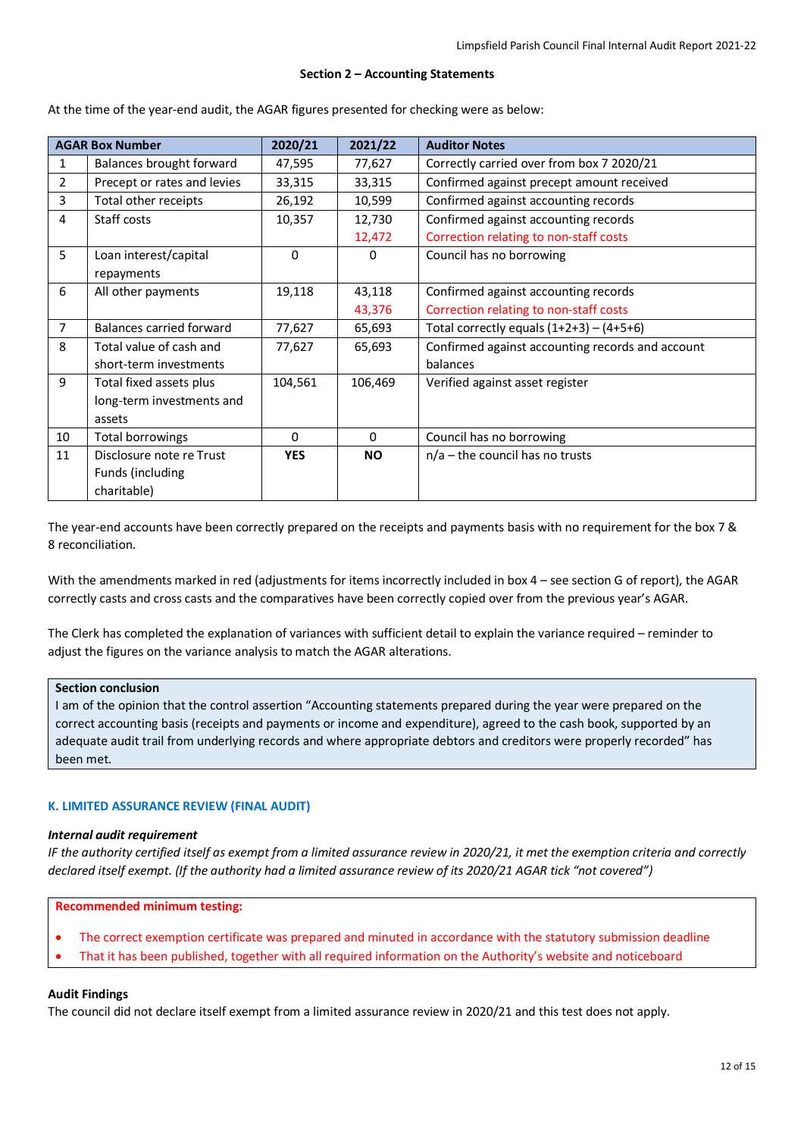#### **Section 2 – Accounting Statements**

| <b>AGAR Box Number</b> |                             | 2020/21    | 2021/22   | <b>Auditor Notes</b>                             |
|------------------------|-----------------------------|------------|-----------|--------------------------------------------------|
| $\mathbf{1}$           | Balances brought forward    | 47,595     | 77,627    | Correctly carried over from box 7 2020/21        |
| 2                      | Precept or rates and levies | 33,315     | 33,315    | Confirmed against precept amount received        |
| 3                      | Total other receipts        | 26,192     | 10,599    | Confirmed against accounting records             |
| 4                      | Staff costs                 | 10,357     | 12,730    | Confirmed against accounting records             |
|                        |                             |            | 12,472    | Correction relating to non-staff costs           |
| 5                      | Loan interest/capital       | 0          | 0         | Council has no borrowing                         |
|                        | repayments                  |            |           |                                                  |
| 6                      | All other payments          | 19,118     | 43,118    | Confirmed against accounting records             |
|                        |                             |            | 43,376    | Correction relating to non-staff costs           |
| 7                      | Balances carried forward    | 77,627     | 65,693    | Total correctly equals $(1+2+3) - (4+5+6)$       |
| 8                      | Total value of cash and     | 77,627     | 65,693    | Confirmed against accounting records and account |
|                        | short-term investments      |            |           | balances                                         |
| 9                      | Total fixed assets plus     | 104,561    | 106,469   | Verified against asset register                  |
|                        | long-term investments and   |            |           |                                                  |
|                        | assets                      |            |           |                                                  |
| 10                     | Total borrowings            | $\Omega$   | $\Omega$  | Council has no borrowing                         |
| 11                     | Disclosure note re Trust    | <b>YES</b> | <b>NO</b> | $n/a$ – the council has no trusts                |
|                        | Funds (including            |            |           |                                                  |
|                        | charitable)                 |            |           |                                                  |

At the time of the year-end audit, the AGAR figures presented for checking were as below:

The year-end accounts have been correctly prepared on the receipts and payments basis with no requirement for the box 7 & 8 reconciliation.

With the amendments marked in red (adjustments for items incorrectly included in box 4 – see section G of report), the AGAR correctly casts and cross casts and the comparatives have been correctly copied over from the previous year's AGAR.

The Clerk has completed the explanation of variances with sufficient detail to explain the variance required – reminder to adjust the figures on the variance analysis to match the AGAR alterations.

## **Section conclusion**

I am of the opinion that the control assertion "Accounting statements prepared during the year were prepared on the correct accounting basis (receipts and payments or income and expenditure), agreed to the cash book, supported by an adequate audit trail from underlying records and where appropriate debtors and creditors were properly recorded" has been met.

#### **K. LIMITED ASSURANCE REVIEW (FINAL AUDIT)**

#### *Internal audit requirement*

*IF the authority certified itself as exempt from a limited assurance review in 2020/21, it met the exemption criteria and correctly declared itself exempt. (If the authority had a limited assurance review of its 2020/21 AGAR tick "not covered")*

**Recommended minimum testing:**

- The correct exemption certificate was prepared and minuted in accordance with the statutory submission deadline
- That it has been published, together with all required information on the Authority's website and noticeboard

#### **Audit Findings**

The council did not declare itself exempt from a limited assurance review in 2020/21 and this test does not apply.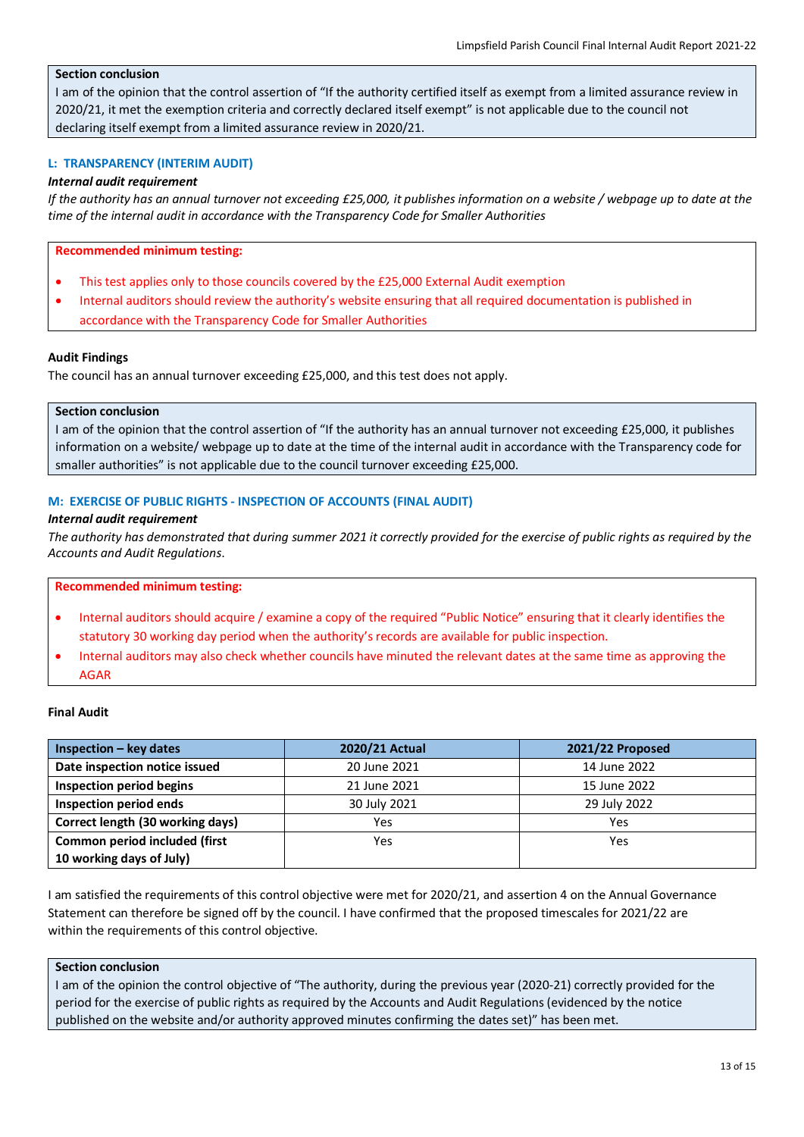# **Section conclusion**

I am of the opinion that the control assertion of "If the authority certified itself as exempt from a limited assurance review in 2020/21, it met the exemption criteria and correctly declared itself exempt" is not applicable due to the council not declaring itself exempt from a limited assurance review in 2020/21.

## **L: TRANSPARENCY (INTERIM AUDIT)**

#### *Internal audit requirement*

*If the authority has an annual turnover not exceeding £25,000, it publishes information on a website / webpage up to date at the time of the internal audit in accordance with the Transparency Code for Smaller Authorities*

## **Recommended minimum testing:**

- This test applies only to those councils covered by the £25,000 External Audit exemption
- Internal auditors should review the authority's website ensuring that all required documentation is published in accordance with the Transparency Code for Smaller Authorities

#### **Audit Findings**

The council has an annual turnover exceeding £25,000, and this test does not apply.

#### **Section conclusion**

I am of the opinion that the control assertion of "If the authority has an annual turnover not exceeding £25,000, it publishes information on a website/ webpage up to date at the time of the internal audit in accordance with the Transparency code for smaller authorities" is not applicable due to the council turnover exceeding £25,000.

## **M: EXERCISE OF PUBLIC RIGHTS - INSPECTION OF ACCOUNTS (FINAL AUDIT)**

#### *Internal audit requirement*

*The authority has demonstrated that during summer 2021 it correctly provided for the exercise of public rights as required by the Accounts and Audit Regulations*.

#### **Recommended minimum testing:**

- Internal auditors should acquire / examine a copy of the required "Public Notice" ensuring that it clearly identifies the statutory 30 working day period when the authority's records are available for public inspection.
- Internal auditors may also check whether councils have minuted the relevant dates at the same time as approving the AGAR

#### **Final Audit**

| $Inspection - key dates$         | 2020/21 Actual | 2021/22 Proposed |
|----------------------------------|----------------|------------------|
| Date inspection notice issued    | 20 June 2021   | 14 June 2022     |
| Inspection period begins         | 21 June 2021   | 15 June 2022     |
| Inspection period ends           | 30 July 2021   | 29 July 2022     |
| Correct length (30 working days) | Yes            | Yes              |
| Common period included (first    | Yes            | Yes              |
| 10 working days of July)         |                |                  |

I am satisfied the requirements of this control objective were met for 2020/21, and assertion 4 on the Annual Governance Statement can therefore be signed off by the council. I have confirmed that the proposed timescales for 2021/22 are within the requirements of this control objective.

## **Section conclusion**

I am of the opinion the control objective of "The authority, during the previous year (2020-21) correctly provided for the period for the exercise of public rights as required by the Accounts and Audit Regulations (evidenced by the notice published on the website and/or authority approved minutes confirming the dates set)" has been met.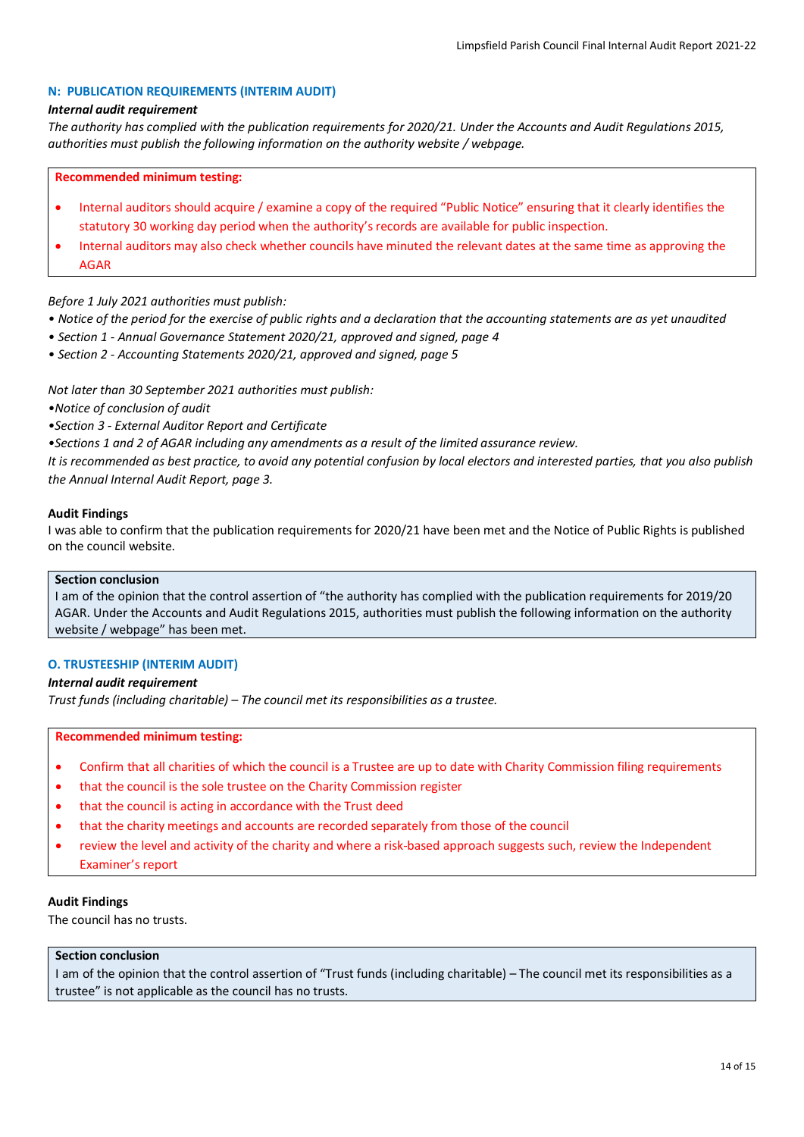## **N: PUBLICATION REQUIREMENTS (INTERIM AUDIT)**

#### *Internal audit requirement*

*The authority has complied with the publication requirements for 2020/21. Under the Accounts and Audit Regulations 2015, authorities must publish the following information on the authority website / webpage.*

#### **Recommended minimum testing:**

- Internal auditors should acquire / examine a copy of the required "Public Notice" ensuring that it clearly identifies the statutory 30 working day period when the authority's records are available for public inspection.
- Internal auditors may also check whether councils have minuted the relevant dates at the same time as approving the AGAR

## *Before 1 July 2021 authorities must publish:*

- *Notice of the period for the exercise of public rights and a declaration that the accounting statements are as yet unaudited*
- *Section 1 Annual Governance Statement 2020/21, approved and signed, page 4*
- *Section 2 Accounting Statements 2020/21, approved and signed, page 5*

*Not later than 30 September 2021 authorities must publish:*

- *•Notice of conclusion of audit*
- *•Section 3 External Auditor Report and Certificate*

*•Sections 1 and 2 of AGAR including any amendments as a result of the limited assurance review.*

*It is recommended as best practice, to avoid any potential confusion by local electors and interested parties, that you also publish the Annual Internal Audit Report, page 3.*

#### **Audit Findings**

I was able to confirm that the publication requirements for 2020/21 have been met and the Notice of Public Rights is published on the council website.

#### **Section conclusion**

I am of the opinion that the control assertion of "the authority has complied with the publication requirements for 2019/20 AGAR. Under the Accounts and Audit Regulations 2015, authorities must publish the following information on the authority website / webpage" has been met.

## **O. TRUSTEESHIP (INTERIM AUDIT)**

## *Internal audit requirement*

*Trust funds (including charitable) – The council met its responsibilities as a trustee.*

#### **Recommended minimum testing:**

- Confirm that all charities of which the council is a Trustee are up to date with Charity Commission filing requirements
- that the council is the sole trustee on the Charity Commission register
- that the council is acting in accordance with the Trust deed
- that the charity meetings and accounts are recorded separately from those of the council
- review the level and activity of the charity and where a risk-based approach suggests such, review the Independent Examiner's report

#### **Audit Findings**

The council has no trusts.

## **Section conclusion**

I am of the opinion that the control assertion of "Trust funds (including charitable) – The council met its responsibilities as a trustee" is not applicable as the council has no trusts.